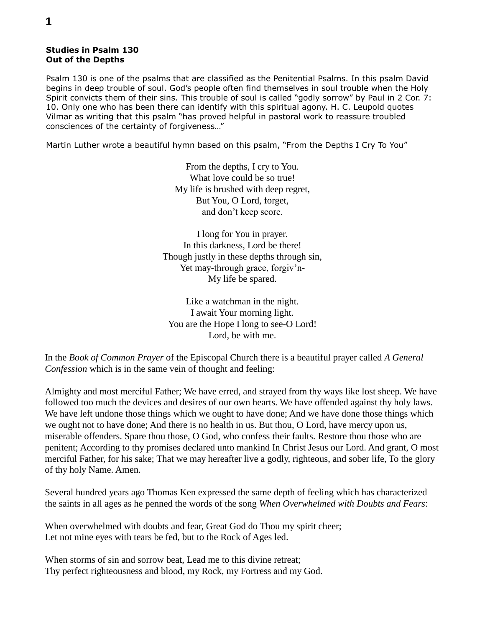## **Studies in Psalm 130 Out of the Depths**

Psalm 130 is one of the psalms that are classified as the Penitential Psalms. In this psalm David begins in deep trouble of soul. God's people often find themselves in soul trouble when the Holy Spirit convicts them of their sins. This trouble of soul is called "godly sorrow" by Paul in 2 Cor. 7: 10. Only one who has been there can identify with this spiritual agony. H. C. Leupold quotes Vilmar as writing that this psalm "has proved helpful in pastoral work to reassure troubled consciences of the certainty of forgiveness…"

Martin Luther wrote a beautiful hymn based on this psalm, "From the Depths I Cry To You"

From the depths, I cry to You. What love could be so true! My life is brushed with deep regret, But You, O Lord, forget, and don't keep score.

I long for You in prayer. In this darkness, Lord be there! Though justly in these depths through sin, Yet may-through grace, forgiv'n-My life be spared.

Like a watchman in the night. I await Your morning light. You are the Hope I long to see-O Lord! Lord, be with me.

In the *Book of Common Prayer* of the Episcopal Church there is a beautiful prayer called *A General Confession* which is in the same vein of thought and feeling:

Almighty and most merciful Father; We have erred, and strayed from thy ways like lost sheep. We have followed too much the devices and desires of our own hearts. We have offended against thy holy laws. We have left undone those things which we ought to have done; And we have done those things which we ought not to have done; And there is no health in us. But thou, O Lord, have mercy upon us, miserable offenders. Spare thou those, O God, who confess their faults. Restore thou those who are penitent; According to thy promises declared unto mankind In Christ Jesus our Lord. And grant, O most merciful Father, for his sake; That we may hereafter live a godly, righteous, and sober life, To the glory of thy holy Name. Amen.

Several hundred years ago Thomas Ken expressed the same depth of feeling which has characterized the saints in all ages as he penned the words of the song *When Overwhelmed with Doubts and Fears*:

When overwhelmed with doubts and fear, Great God do Thou my spirit cheer; Let not mine eyes with tears be fed, but to the Rock of Ages led.

When storms of sin and sorrow beat, Lead me to this divine retreat; Thy perfect righteousness and blood, my Rock, my Fortress and my God.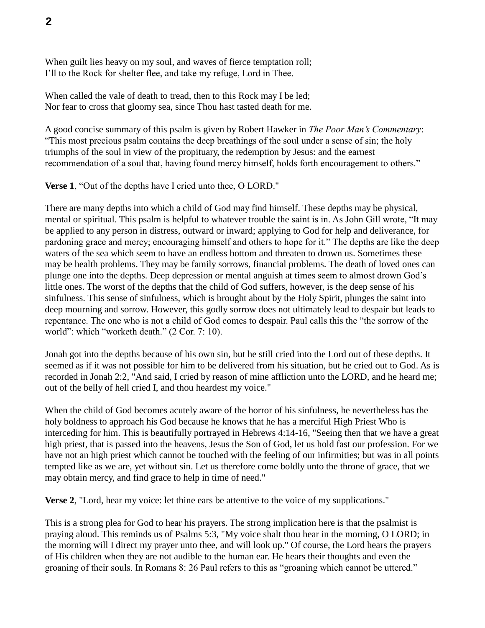When guilt lies heavy on my soul, and waves of fierce temptation roll; I'll to the Rock for shelter flee, and take my refuge, Lord in Thee.

When called the vale of death to tread, then to this Rock may I be led; Nor fear to cross that gloomy sea, since Thou hast tasted death for me.

A good concise summary of this psalm is given by Robert Hawker in *The Poor Man's Commentary*: "This most precious psalm contains the deep breathings of the soul under a sense of sin; the holy triumphs of the soul in view of the propituary, the redemption by Jesus: and the earnest recommendation of a soul that, having found mercy himself, holds forth encouragement to others."

**Verse 1**, "Out of the depths have I cried unto thee, O LORD."

There are many depths into which a child of God may find himself. These depths may be physical, mental or spiritual. This psalm is helpful to whatever trouble the saint is in. As John Gill wrote, "It may be applied to any person in distress, outward or inward; applying to God for help and deliverance, for pardoning grace and mercy; encouraging himself and others to hope for it." The depths are like the deep waters of the sea which seem to have an endless bottom and threaten to drown us. Sometimes these may be health problems. They may be family sorrows, financial problems. The death of loved ones can plunge one into the depths. Deep depression or mental anguish at times seem to almost drown God's little ones. The worst of the depths that the child of God suffers, however, is the deep sense of his sinfulness. This sense of sinfulness, which is brought about by the Holy Spirit, plunges the saint into deep mourning and sorrow. However, this godly sorrow does not ultimately lead to despair but leads to repentance. The one who is not a child of God comes to despair. Paul calls this the "the sorrow of the world": which "worketh death." (2 Cor. 7: 10).

Jonah got into the depths because of his own sin, but he still cried into the Lord out of these depths. It seemed as if it was not possible for him to be delivered from his situation, but he cried out to God. As is recorded in Jonah 2:2, "And said, I cried by reason of mine affliction unto the LORD, and he heard me; out of the belly of hell cried I, and thou heardest my voice."

When the child of God becomes acutely aware of the horror of his sinfulness, he nevertheless has the holy boldness to approach his God because he knows that he has a merciful High Priest Who is interceding for him. This is beautifully portrayed in Hebrews 4:14-16, "Seeing then that we have a great high priest, that is passed into the heavens, Jesus the Son of God, let us hold fast our profession. For we have not an high priest which cannot be touched with the feeling of our infirmities; but was in all points tempted like as we are, yet without sin. Let us therefore come boldly unto the throne of grace, that we may obtain mercy, and find grace to help in time of need."

**Verse 2**, "Lord, hear my voice: let thine ears be attentive to the voice of my supplications."

This is a strong plea for God to hear his prayers. The strong implication here is that the psalmist is praying aloud. This reminds us of Psalms 5:3, "My voice shalt thou hear in the morning, O LORD; in the morning will I direct my prayer unto thee, and will look up." Of course, the Lord hears the prayers of His children when they are not audible to the human ear. He hears their thoughts and even the groaning of their souls. In Romans 8: 26 Paul refers to this as "groaning which cannot be uttered."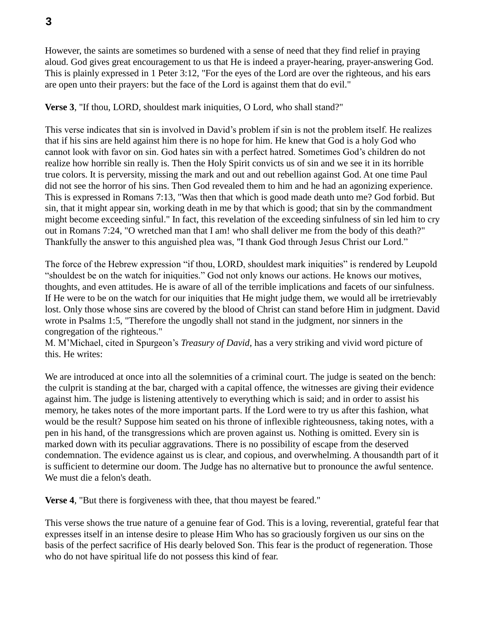However, the saints are sometimes so burdened with a sense of need that they find relief in praying aloud. God gives great encouragement to us that He is indeed a prayer-hearing, prayer-answering God. This is plainly expressed in 1 Peter 3:12, "For the eyes of the Lord are over the righteous, and his ears are open unto their prayers: but the face of the Lord is against them that do evil."

**Verse 3.** "If thou, LORD, shouldest mark iniquities, O Lord, who shall stand?"

This verse indicates that sin is involved in David's problem if sin is not the problem itself. He realizes that if his sins are held against him there is no hope for him. He knew that God is a holy God who cannot look with favor on sin. God hates sin with a perfect hatred. Sometimes God's children do not realize how horrible sin really is. Then the Holy Spirit convicts us of sin and we see it in its horrible true colors. It is perversity, missing the mark and out and out rebellion against God. At one time Paul did not see the horror of his sins. Then God revealed them to him and he had an agonizing experience. This is expressed in Romans 7:13, "Was then that which is good made death unto me? God forbid. But sin, that it might appear sin, working death in me by that which is good; that sin by the commandment might become exceeding sinful." In fact, this revelation of the exceeding sinfulness of sin led him to cry out in Romans 7:24, "O wretched man that I am! who shall deliver me from the body of this death?" Thankfully the answer to this anguished plea was, "I thank God through Jesus Christ our Lord."

The force of the Hebrew expression "if thou, LORD, shouldest mark iniquities" is rendered by Leupold "shouldest be on the watch for iniquities." God not only knows our actions. He knows our motives, thoughts, and even attitudes. He is aware of all of the terrible implications and facets of our sinfulness. If He were to be on the watch for our iniquities that He might judge them, we would all be irretrievably lost. Only those whose sins are covered by the blood of Christ can stand before Him in judgment. David wrote in Psalms 1:5, "Therefore the ungodly shall not stand in the judgment, nor sinners in the congregation of the righteous."

M. M'Michael, cited in Spurgeon's *Treasury of David*, has a very striking and vivid word picture of this. He writes:

We are introduced at once into all the solemnities of a criminal court. The judge is seated on the bench: the culprit is standing at the bar, charged with a capital offence, the witnesses are giving their evidence against him. The judge is listening attentively to everything which is said; and in order to assist his memory, he takes notes of the more important parts. If the Lord were to try us after this fashion, what would be the result? Suppose him seated on his throne of inflexible righteousness, taking notes, with a pen in his hand, of the transgressions which are proven against us. Nothing is omitted. Every sin is marked down with its peculiar aggravations. There is no possibility of escape from the deserved condemnation. The evidence against us is clear, and copious, and overwhelming. A thousandth part of it is sufficient to determine our doom. The Judge has no alternative but to pronounce the awful sentence. We must die a felon's death.

**Verse 4.** "But there is forgiveness with thee, that thou mayest be feared."

This verse shows the true nature of a genuine fear of God. This is a loving, reverential, grateful fear that expresses itself in an intense desire to please Him Who has so graciously forgiven us our sins on the basis of the perfect sacrifice of His dearly beloved Son. This fear is the product of regeneration. Those who do not have spiritual life do not possess this kind of fear.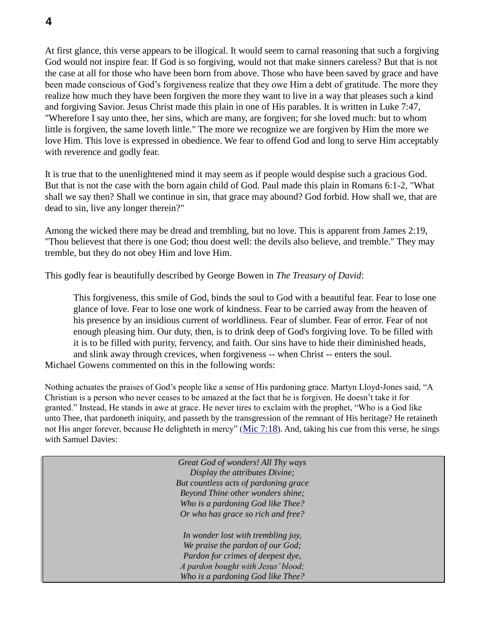At first glance, this verse appears to be illogical. It would seem to carnal reasoning that such a forgiving God would not inspire fear. If God is so forgiving, would not that make sinners careless? But that is not the case at all for those who have been born from above. Those who have been saved by grace and have been made conscious of God's forgiveness realize that they owe Him a debt of gratitude. The more they realize how much they have been forgiven the more they want to live in a way that pleases such a kind and forgiving Savior. Jesus Christ made this plain in one of His parables. It is written in Luke 7:47, "Wherefore I say unto thee, her sins, which are many, are forgiven; for she loved much: but to whom little is forgiven, the same loveth little." The more we recognize we are forgiven by Him the more we love Him. This love is expressed in obedience. We fear to offend God and long to serve Him acceptably with reverence and godly fear.

It is true that to the unenlightened mind it may seem as if people would despise such a gracious God. But that is not the case with the born again child of God. Paul made this plain in Romans 6:1-2, "What shall we say then? Shall we continue in sin, that grace may abound? God forbid. How shall we, that are dead to sin, live any longer therein?"

Among the wicked there may be dread and trembling, but no love. This is apparent from James 2:19, "Thou believest that there is one God; thou doest well: the devils also believe, and tremble." They may tremble, but they do not obey Him and love Him.

This godly fear is beautifully described by George Bowen in *The Treasury of David*:

This forgiveness, this smile of God, binds the soul to God with a beautiful fear. Fear to lose one glance of love. Fear to lose one work of kindness. Fear to be carried away from the heaven of his presence by an insidious current of worldliness. Fear of slumber. Fear of error. Fear of not enough pleasing him. Our duty, then, is to drink deep of God's forgiving love. To be filled with it is to be filled with purity, fervency, and faith. Our sins have to hide their diminished heads, and slink away through crevices, when forgiveness -- when Christ -- enters the soul. Michael Gowens commented on this in the following words:

Nothing actuates the praises of God's people like a sense of His pardoning grace. Martyn Lloyd-Jones said, "A Christian is a person who never ceases to be amazed at the fact that he is forgiven. He doesn't take it for granted." Instead, He stands in awe at grace. He never tires to exclaim with the prophet, "Who is a God like unto Thee, that pardoneth iniquity, and passeth by the transgression of the remnant of His heritage? He retaineth not His anger forever, because He delighteth in mercy" (Mic 7:18). And, taking his cue from this verse, he sings with Samuel Davies:

> *Great God of wonders! All Thy ways Display the attributes Divine; But countless acts of pardoning grace Beyond Thine other wonders shine; Who is a pardoning God like Thee? Or who has grace so rich and free?*

*In wonder lost with trembling joy, We praise the pardon of our God; Pardon for crimes of deepest dye, A pardon bought with Jesus' blood; Who is a pardoning God like Thee?*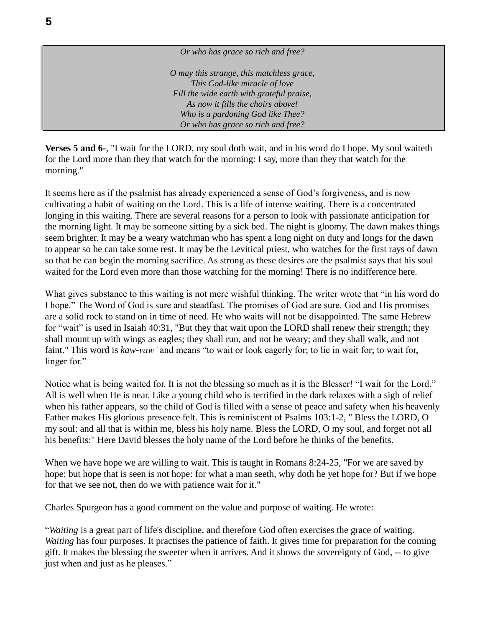*Or who has grace so rich and free? O may this strange, this matchless grace, This God-like miracle of love Fill the wide earth with grateful praise, As now it fills the choirs above! Who is a pardoning God like Thee? Or who has grace so rich and free?*

**Verses 5 and 6-**, "I wait for the LORD, my soul doth wait, and in his word do I hope. My soul waiteth for the Lord more than they that watch for the morning: I say, more than they that watch for the morning."

It seems here as if the psalmist has already experienced a sense of God's forgiveness, and is now cultivating a habit of waiting on the Lord. This is a life of intense waiting. There is a concentrated longing in this waiting. There are several reasons for a person to look with passionate anticipation for the morning light. It may be someone sitting by a sick bed. The night is gloomy. The dawn makes things seem brighter. It may be a weary watchman who has spent a long night on duty and longs for the dawn to appear so he can take some rest. It may be the Levitical priest, who watches for the first rays of dawn so that he can begin the morning sacrifice. As strong as these desires are the psalmist says that his soul waited for the Lord even more than those watching for the morning! There is no indifference here.

What gives substance to this waiting is not mere wishful thinking. The writer wrote that "in his word do I hope." The Word of God is sure and steadfast. The promises of God are sure. God and His promises are a solid rock to stand on in time of need. He who waits will not be disappointed. The same Hebrew for "wait" is used in Isaiah 40:31, "But they that wait upon the LORD shall renew their strength; they shall mount up with wings as eagles; they shall run, and not be weary; and they shall walk, and not faint." This word is *kaw-vaw'* and means "to wait or look eagerly for; to lie in wait for; to wait for, linger for."

Notice what is being waited for. It is not the blessing so much as it is the Blesser! "I wait for the Lord." All is well when He is near. Like a young child who is terrified in the dark relaxes with a sigh of relief when his father appears, so the child of God is filled with a sense of peace and safety when his heavenly Father makes His glorious presence felt. This is reminiscent of Psalms 103:1-2, " Bless the LORD, O my soul: and all that is within me, bless his holy name. Bless the LORD, O my soul, and forget not all his benefits:" Here David blesses the holy name of the Lord before he thinks of the benefits.

When we have hope we are willing to wait. This is taught in Romans 8:24-25, "For we are saved by hope: but hope that is seen is not hope: for what a man seeth, why doth he yet hope for? But if we hope for that we see not, then do we with patience wait for it."

Charles Spurgeon has a good comment on the value and purpose of waiting. He wrote:

"*Waiting* is a great part of life's discipline, and therefore God often exercises the grace of waiting. *Waiting* has four purposes. It practises the patience of faith. It gives time for preparation for the coming gift. It makes the blessing the sweeter when it arrives. And it shows the sovereignty of God, -- to give just when and just as he pleases."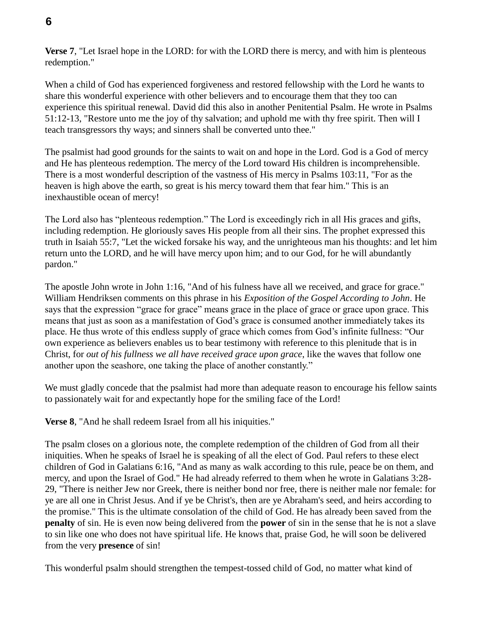**Verse 7**, "Let Israel hope in the LORD: for with the LORD there is mercy, and with him is plenteous redemption."

When a child of God has experienced forgiveness and restored fellowship with the Lord he wants to share this wonderful experience with other believers and to encourage them that they too can experience this spiritual renewal. David did this also in another Penitential Psalm. He wrote in Psalms 51:12-13, "Restore unto me the joy of thy salvation; and uphold me with thy free spirit. Then will I teach transgressors thy ways; and sinners shall be converted unto thee."

The psalmist had good grounds for the saints to wait on and hope in the Lord. God is a God of mercy and He has plenteous redemption. The mercy of the Lord toward His children is incomprehensible. There is a most wonderful description of the vastness of His mercy in Psalms 103:11, "For as the heaven is high above the earth, so great is his mercy toward them that fear him." This is an inexhaustible ocean of mercy!

The Lord also has "plenteous redemption." The Lord is exceedingly rich in all His graces and gifts, including redemption. He gloriously saves His people from all their sins. The prophet expressed this truth in Isaiah 55:7, "Let the wicked forsake his way, and the unrighteous man his thoughts: and let him return unto the LORD, and he will have mercy upon him; and to our God, for he will abundantly pardon."

The apostle John wrote in John 1:16, "And of his fulness have all we received, and grace for grace." William Hendriksen comments on this phrase in his *Exposition of the Gospel According to John*. He says that the expression "grace for grace" means grace in the place of grace or grace upon grace. This means that just as soon as a manifestation of God's grace is consumed another immediately takes its place. He thus wrote of this endless supply of grace which comes from God's infinite fullness: "Our own experience as believers enables us to bear testimony with reference to this plenitude that is in Christ, for *out of his fullness we all have received grace upon grace*, like the waves that follow one another upon the seashore, one taking the place of another constantly."

We must gladly concede that the psalmist had more than adequate reason to encourage his fellow saints to passionately wait for and expectantly hope for the smiling face of the Lord!

**Verse 8**, "And he shall redeem Israel from all his iniquities."

The psalm closes on a glorious note, the complete redemption of the children of God from all their iniquities. When he speaks of Israel he is speaking of all the elect of God. Paul refers to these elect children of God in Galatians 6:16, "And as many as walk according to this rule, peace be on them, and mercy, and upon the Israel of God." He had already referred to them when he wrote in Galatians 3:28- 29, "There is neither Jew nor Greek, there is neither bond nor free, there is neither male nor female: for ye are all one in Christ Jesus. And if ye be Christ's, then are ye Abraham's seed, and heirs according to the promise." This is the ultimate consolation of the child of God. He has already been saved from the **penalty** of sin. He is even now being delivered from the **power** of sin in the sense that he is not a slave to sin like one who does not have spiritual life. He knows that, praise God, he will soon be delivered from the very **presence** of sin!

This wonderful psalm should strengthen the tempest-tossed child of God, no matter what kind of